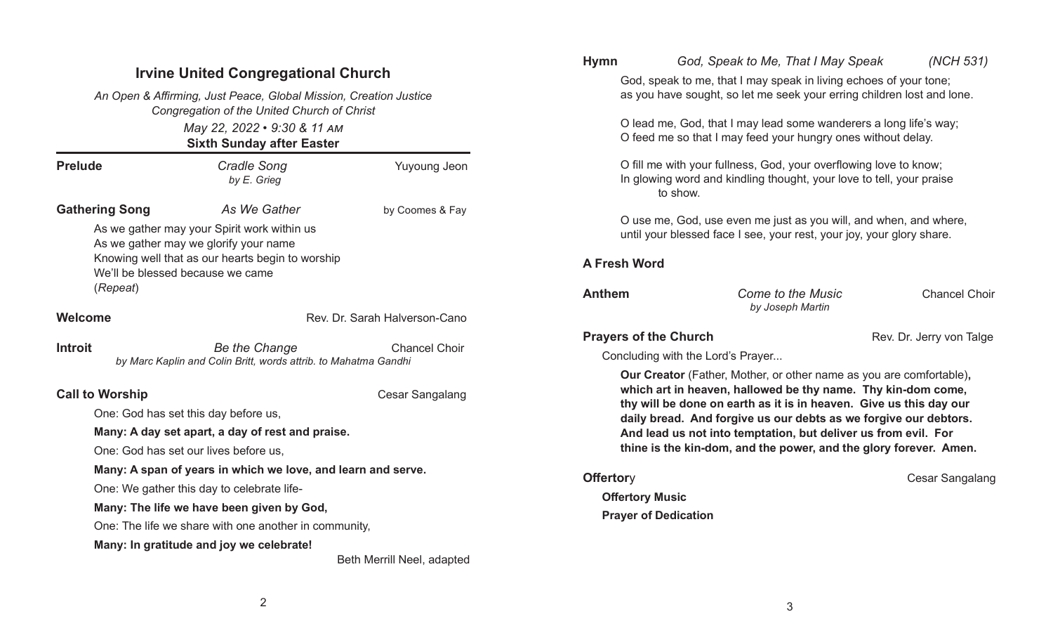## Irvine United Congregational Church

May 22, 2022 • 9:30 & 11 AM Sixth Sunday after Easter An Open & Affirming, Just Peace, Global Mission, Creation Justice Congregation of the United Church of Christ

| <b>Prelude</b>         | <b>Cradle Song</b><br>by E. Grieg                                                                                                                                            | <b>Yuyoung Jeon</b>           |
|------------------------|------------------------------------------------------------------------------------------------------------------------------------------------------------------------------|-------------------------------|
| <b>Gathering Song</b>  | As We Gather                                                                                                                                                                 | by Coomes & Fay               |
| (Repeat)               | As we gather may your Spirit work within us<br>As we gather may we glorify your name<br>Knowing well that as our hearts begin to worship<br>We'll be blessed because we came |                               |
| Welcome                |                                                                                                                                                                              | Rev. Dr. Sarah Halverson-Cano |
| Introit                | Be the Change<br>by Marc Kaplin and Colin Britt, words attrib. to Mahatma Gandhi                                                                                             | <b>Chancel Choir</b>          |
| <b>Call to Worship</b> |                                                                                                                                                                              | Cesar Sangalang               |
|                        | One: God has set this day before us,                                                                                                                                         |                               |
|                        | Many: A day set apart, a day of rest and praise.                                                                                                                             |                               |
|                        | One: God has set our lives before us,                                                                                                                                        |                               |
|                        | Many: A span of years in which we love, and learn and serve.                                                                                                                 |                               |
|                        | One: We gather this day to celebrate life-                                                                                                                                   |                               |
|                        | Many: The life we have been given by God,                                                                                                                                    |                               |
|                        | One: The life we share with one another in community,                                                                                                                        |                               |
|                        | Many: In gratitude and joy we celebrate!                                                                                                                                     |                               |
|                        |                                                                                                                                                                              | Beth Merrill Neel, adapted    |

# Hymn God, Speak to Me, That I May Speak (NCH 531) God, speak to me, that I may speak in living echoes of your tone; as you have sought, so let me seek your erring children lost and lone. O lead me, God, that I may lead some wanderers a long life's way; O feed me so that I may feed your hungry ones without delay. O fill me with your fullness, God, your overflowing love to know: In glowing word and kindling thought, your love to tell, your praise to show. O use me, God, use even me just as you will, and when, and where, until your blessed face I see, your rest, your joy, your glory share. A Fresh Word Anthem Come to the Music Chancel Choir by Joseph Martin **Prayers of the Church Rev. Dr. Jerry von Talge**  Concluding with the Lord's Prayer... Our Creator (Father, Mother, or other name as you are comfortable), which art in heaven, hallowed be thy name. Thy kin-dom come, thy will be done on earth as it is in heaven. Give us this day our daily bread. And forgive us our debts as we forgive our debtors. And lead us not into temptation, but deliver us from evil. For thine is the kin-dom, and the power, and the glory forever. Amen. **Offertory** Cesar Sangalang **Offertory Music** Prayer of Dedication